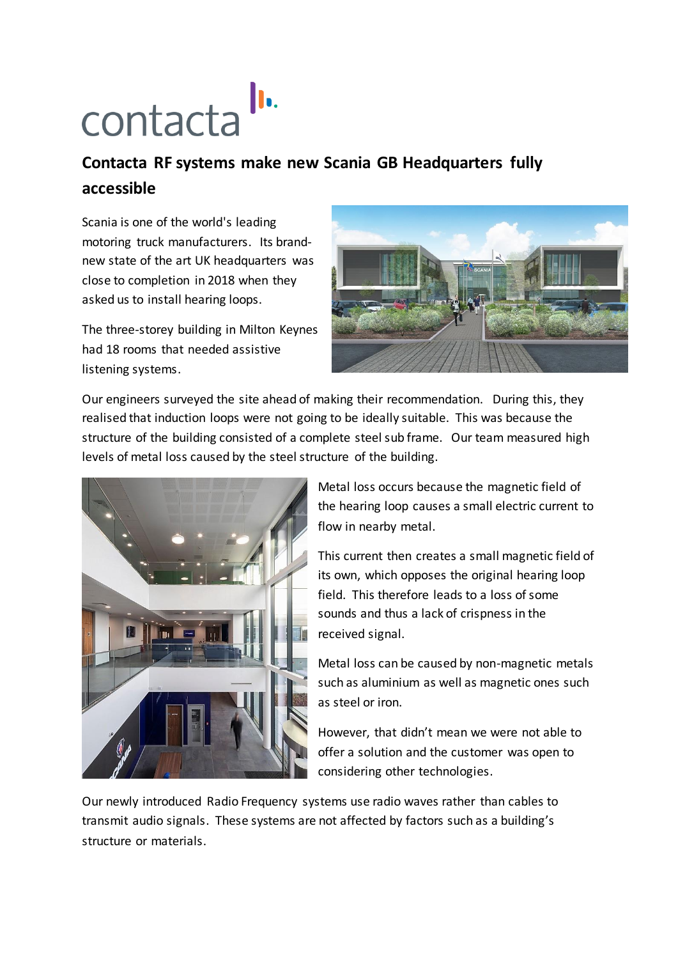## contacta<sup>ll.</sup>

## **Contacta RF systems make new Scania GB Headquarters fully accessible**

Scania is one of the world's leading motoring truck manufacturers. Its brandnew state of the art UK headquarters was close to completion in 2018 when they asked us to install hearing loops.

The three-storey building in Milton Keynes had 18 rooms that needed assistive listening systems.



Our engineers surveyed the site ahead of making their recommendation. During this, they realised that induction loops were not going to be ideally suitable. This was because the structure of the building consisted of a complete steel sub frame. Our team measured high levels of metal loss caused by the steel structure of the building.



Metal loss occurs because the magnetic field of the hearing loop causes a small electric current to flow in nearby metal.

This current then creates a small magnetic field of its own, which opposes the original hearing loop field. This therefore leads to a loss of some sounds and thus a lack of crispness in the received signal.

Metal loss can be caused by non-magnetic metals such as aluminium as well as magnetic ones such as steel or iron.

However, that didn't mean we were not able to offer a solution and the customer was open to considering other technologies.

Our newly introduced Radio Frequency systems use radio waves rather than cables to transmit audio signals. These systems are not affected by factors such as a building's structure or materials.